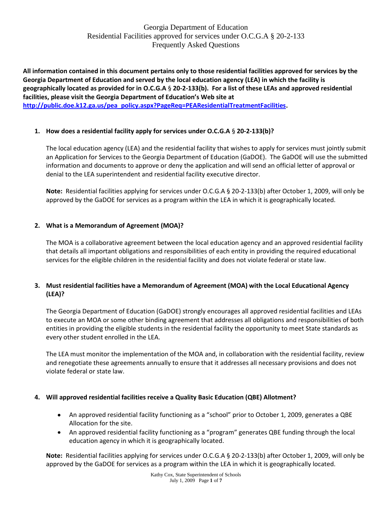**All information contained in this document pertains only to those residential facilities approved for services by the Georgia Department of Education and served by the local education agency (LEA) in which the facility is geographically located as provided for in O.C.G.A** § **20-2-133(b). For a list of these LEAs and approved residential facilities, please visit the Georgia Department of Education's Web site at [http://public.doe.k12.ga.us/pea\\_policy.aspx?PageReq=PEAResidentialTreatmentFacilities.](http://public.doe.k12.ga.us/pea_policy.aspx?PageReq=PEAResidentialTreatmentFacilities)**

## **1. How does a residential facility apply for services under O.C.G.A** § **20-2-133(b)?**

The local education agency (LEA) and the residential facility that wishes to apply for services must jointly submit an Application for Services to the Georgia Department of Education (GaDOE). The GaDOE will use the submitted information and documents to approve or deny the application and will send an official letter of approval or denial to the LEA superintendent and residential facility executive director.

**Note:** Residential facilities applying for services under O.C.G.A § 20-2-133(b) after October 1, 2009, will only be approved by the GaDOE for services as a program within the LEA in which it is geographically located.

## **2. What is a Memorandum of Agreement (MOA)?**

The MOA is a collaborative agreement between the local education agency and an approved residential facility that details all important obligations and responsibilities of each entity in providing the required educational services for the eligible children in the residential facility and does not violate federal or state law.

## **3. Must residential facilities have a Memorandum of Agreement (MOA) with the Local Educational Agency (LEA)?**

The Georgia Department of Education (GaDOE) strongly encourages all approved residential facilities and LEAs to execute an MOA or some other binding agreement that addresses all obligations and responsibilities of both entities in providing the eligible students in the residential facility the opportunity to meet State standards as every other student enrolled in the LEA.

The LEA must monitor the implementation of the MOA and, in collaboration with the residential facility, review and renegotiate these agreements annually to ensure that it addresses all necessary provisions and does not violate federal or state law.

## **4. Will approved residential facilities receive a Quality Basic Education (QBE) Allotment?**

- An approved residential facility functioning as a "school" prior to October 1, 2009, generates a QBE Allocation for the site.
- An approved residential facility functioning as a "program" generates QBE funding through the local education agency in which it is geographically located.

**Note:** Residential facilities applying for services under O.C.G.A § 20-2-133(b) after October 1, 2009, will only be approved by the GaDOE for services as a program within the LEA in which it is geographically located.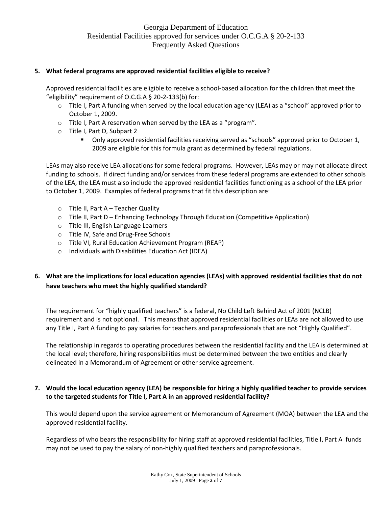#### **5. What federal programs are approved residential facilities eligible to receive?**

Approved residential facilities are eligible to receive a school-based allocation for the children that meet the "eligibility" requirement of O.C.G.A § 20-2-133(b) for:

- o Title I, Part A funding when served by the local education agency (LEA) as a "school" approved prior to October 1, 2009.
- o Title I, Part A reservation when served by the LEA as a "program".
- o Title I, Part D, Subpart 2
	- Only approved residential facilities receiving served as "schools" approved prior to October 1, 2009 are eligible for this formula grant as determined by federal regulations.

LEAs may also receive LEA allocations for some federal programs. However, LEAs may or may not allocate direct funding to schools. If direct funding and/or services from these federal programs are extended to other schools of the LEA, the LEA must also include the approved residential facilities functioning as a school of the LEA prior to October 1, 2009. Examples of federal programs that fit this description are:

- o Title II, Part A Teacher Quality
- o Title II, Part D Enhancing Technology Through Education (Competitive Application)
- o Title III, English Language Learners
- o Title IV, Safe and Drug-Free Schools
- o Title VI, Rural Education Achievement Program (REAP)
- o Individuals with Disabilities Education Act (IDEA)

# **6. What are the implications for local education agencies (LEAs) with approved residential facilities that do not have teachers who meet the highly qualified standard?**

The requirement for "highly qualified teachers" is a federal, No Child Left Behind Act of 2001 (NCLB) requirement and is not optional. This means that approved residential facilities or LEAs are not allowed to use any Title I, Part A funding to pay salaries for teachers and paraprofessionals that are not "Highly Qualified".

The relationship in regards to operating procedures between the residential facility and the LEA is determined at the local level; therefore, hiring responsibilities must be determined between the two entities and clearly delineated in a Memorandum of Agreement or other service agreement.

## **7. Would the local education agency (LEA) be responsible for hiring a highly qualified teacher to provide services to the targeted students for Title I, Part A in an approved residential facility?**

This would depend upon the service agreement or Memorandum of Agreement (MOA) between the LEA and the approved residential facility.

Regardless of who bears the responsibility for hiring staff at approved residential facilities, Title I, Part A funds may not be used to pay the salary of non-highly qualified teachers and paraprofessionals.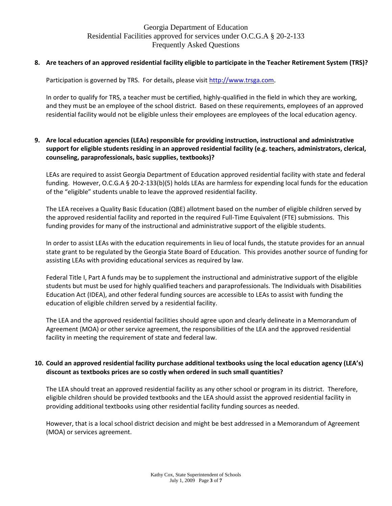#### **8. Are teachers of an approved residential facility eligible to participate in the Teacher Retirement System (TRS)?**

Participation is governed by TRS. For details, please visi[t http://www.trsga.com](http://www.trsga.com/).

In order to qualify for TRS, a teacher must be certified, highly-qualified in the field in which they are working, and they must be an employee of the school district. Based on these requirements, employees of an approved residential facility would not be eligible unless their employees are employees of the local education agency.

### **9. Are local education agencies (LEAs) responsible for providing instruction, instructional and administrative support for eligible students residing in an approved residential facility (e.g. teachers, administrators, clerical, counseling, paraprofessionals, basic supplies, textbooks)?**

LEAs are required to assist Georgia Department of Education approved residential facility with state and federal funding. However, O.C.G.A § 20-2-133(b)(5) holds LEAs are harmless for expending local funds for the education of the "eligible" students unable to leave the approved residential facility.

The LEA receives a Quality Basic Education (QBE) allotment based on the number of eligible children served by the approved residential facility and reported in the required Full-Time Equivalent (FTE) submissions. This funding provides for many of the instructional and administrative support of the eligible students.

In order to assist LEAs with the education requirements in lieu of local funds, the statute provides for an annual state grant to be regulated by the Georgia State Board of Education. This provides another source of funding for assisting LEAs with providing educational services as required by law.

Federal Title I, Part A funds may be to supplement the instructional and administrative support of the eligible students but must be used for highly qualified teachers and paraprofessionals. The Individuals with Disabilities Education Act (IDEA), and other federal funding sources are accessible to LEAs to assist with funding the education of eligible children served by a residential facility.

The LEA and the approved residential facilities should agree upon and clearly delineate in a Memorandum of Agreement (MOA) or other service agreement, the responsibilities of the LEA and the approved residential facility in meeting the requirement of state and federal law.

## **10. Could an approved residential facility purchase additional textbooks using the local education agency (LEA's) discount as textbooks prices are so costly when ordered in such small quantities?**

The LEA should treat an approved residential facility as any other school or program in its district. Therefore, eligible children should be provided textbooks and the LEA should assist the approved residential facility in providing additional textbooks using other residential facility funding sources as needed.

However, that is a local school district decision and might be best addressed in a Memorandum of Agreement (MOA) or services agreement.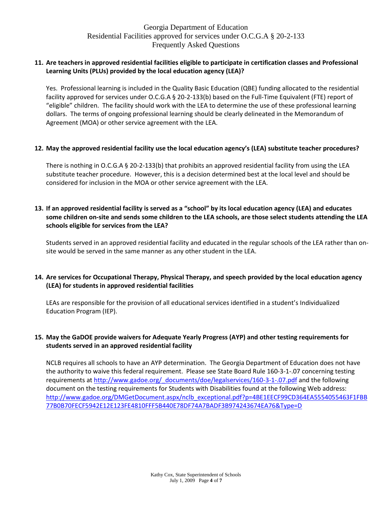#### **11. Are teachers in approved residential facilities eligible to participate in certification classes and Professional Learning Units (PLUs) provided by the local education agency (LEA)?**

Yes. Professional learning is included in the Quality Basic Education (QBE) funding allocated to the residential facility approved for services under O.C.G.A § 20-2-133(b) based on the Full-Time Equivalent (FTE) report of "eligible" children. The facility should work with the LEA to determine the use of these professional learning dollars. The terms of ongoing professional learning should be clearly delineated in the Memorandum of Agreement (MOA) or other service agreement with the LEA.

#### **12. May the approved residential facility use the local education agency's (LEA) substitute teacher procedures?**

There is nothing in O.C.G.A § 20-2-133(b) that prohibits an approved residential facility from using the LEA substitute teacher procedure. However, this is a decision determined best at the local level and should be considered for inclusion in the MOA or other service agreement with the LEA.

### **13. If an approved residential facility is served as a "school" by its local education agency (LEA) and educates some children on-site and sends some children to the LEA schools, are those select students attending the LEA schools eligible for services from the LEA?**

Students served in an approved residential facility and educated in the regular schools of the LEA rather than onsite would be served in the same manner as any other student in the LEA.

## **14. Are services for Occupational Therapy, Physical Therapy, and speech provided by the local education agency (LEA) for students in approved residential facilities**

LEAs are responsible for the provision of all educational services identified in a student's Individualized Education Program (IEP).

#### **15. May the GaDOE provide waivers for Adequate Yearly Progress (AYP) and other testing requirements for students served in an approved residential facility**

NCLB requires all schools to have an AYP determination. The Georgia Department of Education does not have the authority to waive this federal requirement. Please see State Board Rule 160-3-1-.07 concerning testing requirements a[t http://www.gadoe.org/\\_documents/doe/legalservices/160-3-1-.07.pdf](http://www.gadoe.org/_documents/doe/legalservices/160-3-1-.07.pdf) and the following document on the testing requirements for Students with Disabilities found at the following Web address: [http://www.gadoe.org/DMGetDocument.aspx/nclb\\_exceptional.pdf?p=4BE1EECF99CD364EA5554055463F1FBB](http://www.gadoe.org/DMGetDocument.aspx/nclb_exceptional.pdf?p=4BE1EECF99CD364EA5554055463F1FBB77B0B70FECF5942E12E123FE4810FFF5B440E78DF74A7BADF3B974243674EA76&Type=D) [77B0B70FECF5942E12E123FE4810FFF5B440E78DF74A7BADF3B974243674EA76&Type=D](http://www.gadoe.org/DMGetDocument.aspx/nclb_exceptional.pdf?p=4BE1EECF99CD364EA5554055463F1FBB77B0B70FECF5942E12E123FE4810FFF5B440E78DF74A7BADF3B974243674EA76&Type=D)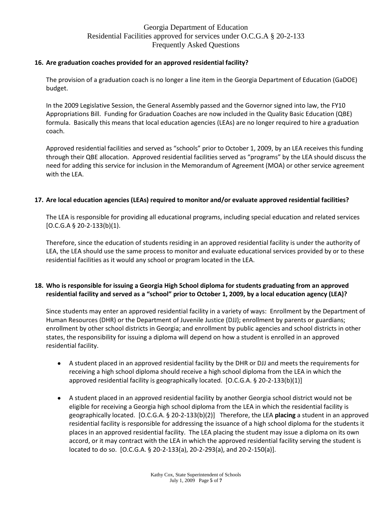#### **16. Are graduation coaches provided for an approved residential facility?**

The provision of a graduation coach is no longer a line item in the Georgia Department of Education (GaDOE) budget.

In the 2009 Legislative Session, the General Assembly passed and the Governor signed into law, the FY10 Appropriations Bill. Funding for Graduation Coaches are now included in the Quality Basic Education (QBE) formula. Basically this means that local education agencies (LEAs) are no longer required to hire a graduation coach.

Approved residential facilities and served as "schools" prior to October 1, 2009, by an LEA receives this funding through their QBE allocation. Approved residential facilities served as "programs" by the LEA should discuss the need for adding this service for inclusion in the Memorandum of Agreement (MOA) or other service agreement with the LEA.

#### **17. Are local education agencies (LEAs) required to monitor and/or evaluate approved residential facilities?**

The LEA is responsible for providing all educational programs, including special education and related services  $[O.C.G.A \S 2O-2-133(b)(1)].$ 

Therefore, since the education of students residing in an approved residential facility is under the authority of LEA, the LEA should use the same process to monitor and evaluate educational services provided by or to these residential facilities as it would any school or program located in the LEA.

#### **18. Who is responsible for issuing a Georgia High School diploma for students graduating from an approved residential facility and served as a "school" prior to October 1, 2009, by a local education agency (LEA)?**

Since students may enter an approved residential facility in a variety of ways: Enrollment by the Department of Human Resources (DHR) or the Department of Juvenile Justice (DJJ); enrollment by parents or guardians; enrollment by other school districts in Georgia; and enrollment by public agencies and school districts in other states, the responsibility for issuing a diploma will depend on how a student is enrolled in an approved residential facility.

- A student placed in an approved residential facility by the DHR or DJJ and meets the requirements for receiving a high school diploma should receive a high school diploma from the LEA in which the approved residential facility is geographically located. [O.C.G.A. § 20-2-133(b)(1)]
- A student placed in an approved residential facility by another Georgia school district would not be eligible for receiving a Georgia high school diploma from the LEA in which the residential facility is geographically located. [O.C.G.A. § 20-2-133(b)(2)] Therefore, the LEA **placing** a student in an approved residential facility is responsible for addressing the issuance of a high school diploma for the students it places in an approved residential facility. The LEA placing the student may issue a diploma on its own accord, or it may contract with the LEA in which the approved residential facility serving the student is located to do so. [O.C.G.A. § 20-2-133(a), 20-2-293(a), and 20-2-150(a)].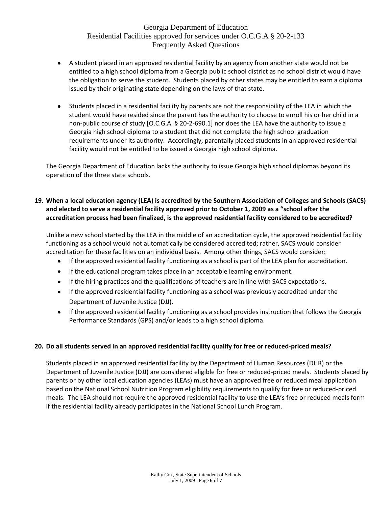- A student placed in an approved residential facility by an agency from another state would not be entitled to a high school diploma from a Georgia public school district as no school district would have the obligation to serve the student. Students placed by other states may be entitled to earn a diploma issued by their originating state depending on the laws of that state.
- Students placed in a residential facility by parents are not the responsibility of the LEA in which the student would have resided since the parent has the authority to choose to enroll his or her child in a non-public course of study [O.C.G.A. § 20-2-690.1] nor does the LEA have the authority to issue a Georgia high school diploma to a student that did not complete the high school graduation requirements under its authority. Accordingly, parentally placed students in an approved residential facility would not be entitled to be issued a Georgia high school diploma.

The Georgia Department of Education lacks the authority to issue Georgia high school diplomas beyond its operation of the three state schools.

## **19. When a local education agency (LEA) is accredited by the Southern Association of Colleges and Schools (SACS) and elected to serve a residential facility approved prior to October 1, 2009 as a "school after the accreditation process had been finalized, is the approved residential facility considered to be accredited?**

Unlike a new school started by the LEA in the middle of an accreditation cycle, the approved residential facility functioning as a school would not automatically be considered accredited; rather, SACS would consider accreditation for these facilities on an individual basis. Among other things, SACS would consider:

- $\bullet$ If the approved residential facility functioning as a school is part of the LEA plan for accreditation.
- If the educational program takes place in an acceptable learning environment.
- If the hiring practices and the qualifications of teachers are in line with SACS expectations.
- If the approved residential facility functioning as a school was previously accredited under the Department of Juvenile Justice (DJJ).
- If the approved residential facility functioning as a school provides instruction that follows the Georgia Performance Standards (GPS) and/or leads to a high school diploma.

## **20. Do all students served in an approved residential facility qualify for free or reduced-priced meals?**

Students placed in an approved residential facility by the Department of Human Resources (DHR) or the Department of Juvenile Justice (DJJ) are considered eligible for free or reduced-priced meals. Students placed by parents or by other local education agencies (LEAs) must have an approved free or reduced meal application based on the National School Nutrition Program eligibility requirements to qualify for free or reduced-priced meals. The LEA should not require the approved residential facility to use the LEA's free or reduced meals form if the residential facility already participates in the National School Lunch Program.